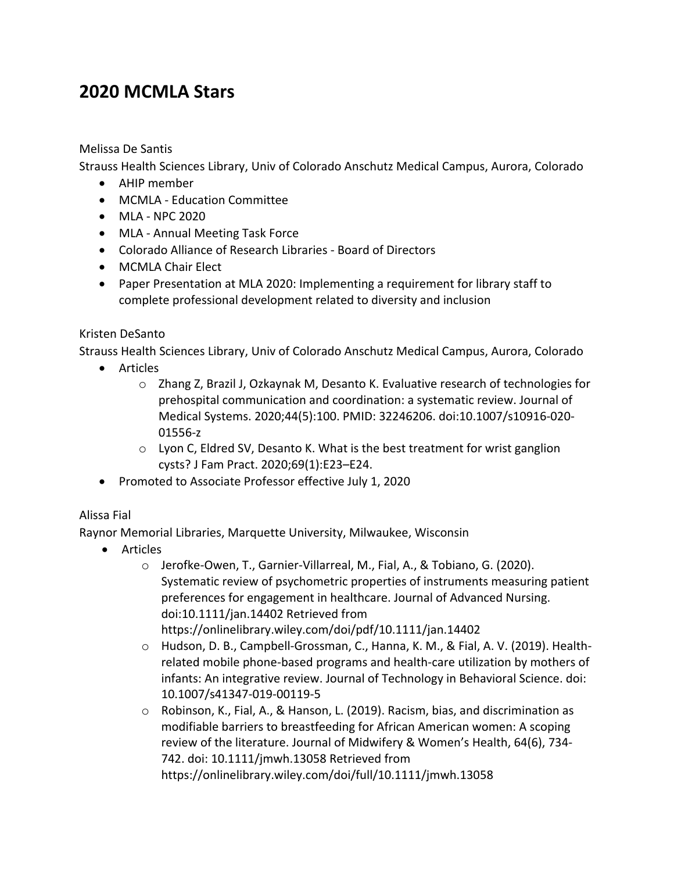# **2020 MCMLA Stars**

Melissa De Santis

Strauss Health Sciences Library, Univ of Colorado Anschutz Medical Campus, Aurora, Colorado

- AHIP member
- MCMLA Education Committee
- MLA NPC 2020
- MLA Annual Meeting Task Force
- Colorado Alliance of Research Libraries Board of Directors
- MCMLA Chair Elect
- Paper Presentation at MLA 2020: Implementing a requirement for library staff to complete professional development related to diversity and inclusion

#### Kristen DeSanto

Strauss Health Sciences Library, Univ of Colorado Anschutz Medical Campus, Aurora, Colorado

- Articles
	- o Zhang Z, Brazil J, Ozkaynak M, Desanto K. Evaluative research of technologies for prehospital communication and coordination: a systematic review. Journal of Medical Systems. 2020;44(5):100. PMID: 32246206. doi:10.1007/s10916-020- 01556-z
	- o Lyon C, Eldred SV, Desanto K. What is the best treatment for wrist ganglion cysts? J Fam Pract. 2020;69(1):E23–E24.
- Promoted to Associate Professor effective July 1, 2020

#### Alissa Fial

Raynor Memorial Libraries, Marquette University, Milwaukee, Wisconsin

- Articles
	- o Jerofke-Owen, T., Garnier-Villarreal, M., Fial, A., & Tobiano, G. (2020). Systematic review of psychometric properties of instruments measuring patient preferences for engagement in healthcare. Journal of Advanced Nursing. doi:10.1111/jan.14402 Retrieved from https://onlinelibrary.wiley.com/doi/pdf/10.1111/jan.14402
	- o Hudson, D. B., Campbell-Grossman, C., Hanna, K. M., & Fial, A. V. (2019). Healthrelated mobile phone-based programs and health-care utilization by mothers of infants: An integrative review. Journal of Technology in Behavioral Science. doi: 10.1007/s41347-019-00119-5
	- $\circ$  Robinson, K., Fial, A., & Hanson, L. (2019). Racism, bias, and discrimination as modifiable barriers to breastfeeding for African American women: A scoping review of the literature. Journal of Midwifery & Women's Health, 64(6), 734- 742. doi: 10.1111/jmwh.13058 Retrieved from https://onlinelibrary.wiley.com/doi/full/10.1111/jmwh.13058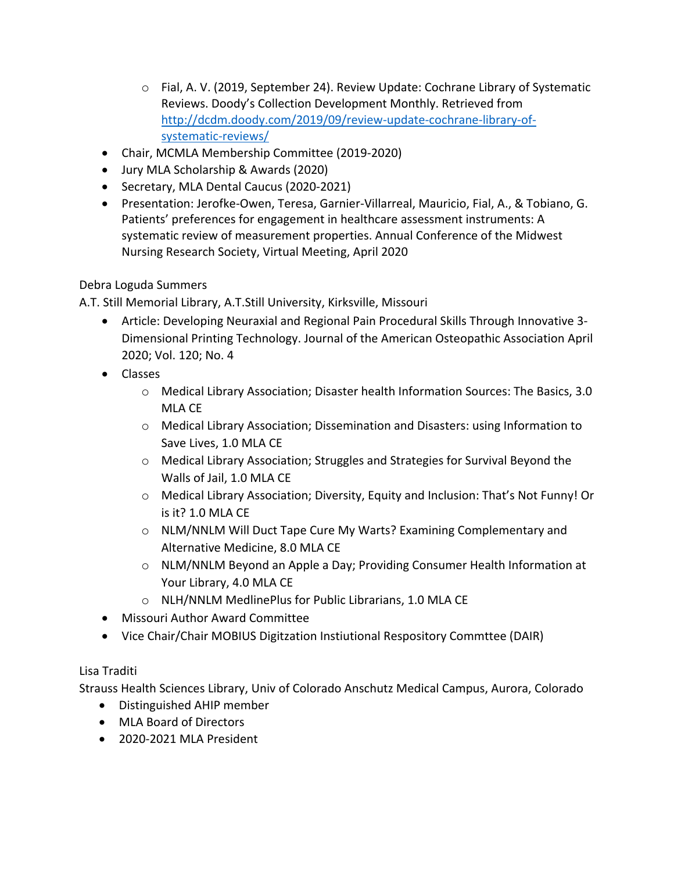- o Fial, A. V. (2019, September 24). Review Update: Cochrane Library of Systematic Reviews. Doody's Collection Development Monthly. Retrieved from [http://dcdm.doody.com/2019/09/review-update-cochrane-library-of](http://dcdm.doody.com/2019/09/review-update-cochrane-library-of-systematic-reviews/)[systematic-reviews/](http://dcdm.doody.com/2019/09/review-update-cochrane-library-of-systematic-reviews/)
- Chair, MCMLA Membership Committee (2019-2020)
- Jury MLA Scholarship & Awards (2020)
- Secretary, MLA Dental Caucus (2020-2021)
- Presentation: Jerofke-Owen, Teresa, Garnier-Villarreal, Mauricio, Fial, A., & Tobiano, G. Patients' preferences for engagement in healthcare assessment instruments: A systematic review of measurement properties. Annual Conference of the Midwest Nursing Research Society, Virtual Meeting, April 2020

# Debra Loguda Summers

A.T. Still Memorial Library, A.T.Still University, Kirksville, Missouri

- Article: Developing Neuraxial and Regional Pain Procedural Skills Through Innovative 3- Dimensional Printing Technology. Journal of the American Osteopathic Association April 2020; Vol. 120; No. 4
- Classes
	- o Medical Library Association; Disaster health Information Sources: The Basics, 3.0 MLA CE
	- o Medical Library Association; Dissemination and Disasters: using Information to Save Lives, 1.0 MLA CE
	- o Medical Library Association; Struggles and Strategies for Survival Beyond the Walls of Jail, 1.0 MLA CE
	- o Medical Library Association; Diversity, Equity and Inclusion: That's Not Funny! Or is it? 1.0 MLA CE
	- o NLM/NNLM Will Duct Tape Cure My Warts? Examining Complementary and Alternative Medicine, 8.0 MLA CE
	- o NLM/NNLM Beyond an Apple a Day; Providing Consumer Health Information at Your Library, 4.0 MLA CE
	- o NLH/NNLM MedlinePlus for Public Librarians, 1.0 MLA CE
- Missouri Author Award Committee
- Vice Chair/Chair MOBIUS Digitzation Instiutional Respository Commttee (DAIR)

# Lisa Traditi

Strauss Health Sciences Library, Univ of Colorado Anschutz Medical Campus, Aurora, Colorado

- Distinguished AHIP member
- MLA Board of Directors
- 2020-2021 MLA President